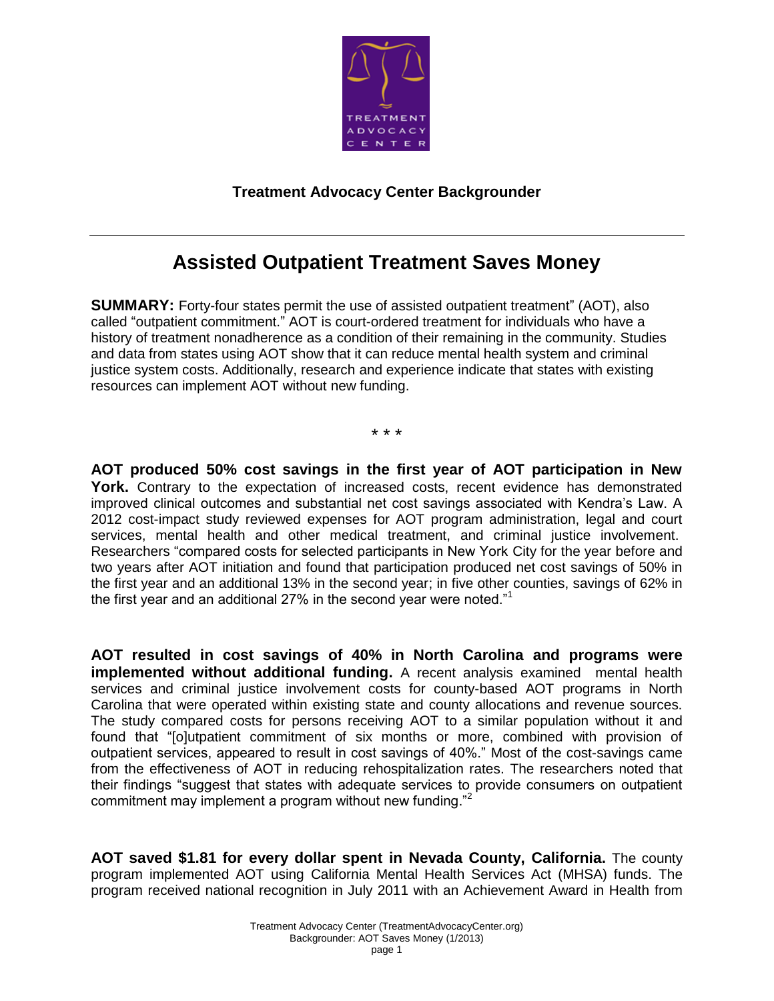

## **Treatment Advocacy Center Backgrounder**

## **Assisted Outpatient Treatment Saves Money**

**SUMMARY:** Forty-four states permit the use of assisted outpatient treatment" (AOT), also called "outpatient commitment." AOT is court-ordered treatment for individuals who have a history of treatment nonadherence as a condition of their remaining in the community. Studies and data from states using AOT show that it can reduce mental health system and criminal justice system costs. Additionally, research and experience indicate that states with existing resources can implement AOT without new funding.

\* \* \*

**AOT produced 50% cost savings in the first year of AOT participation in New**  York. Contrary to the expectation of increased costs, recent evidence has demonstrated improved clinical outcomes and substantial net cost savings associated with Kendra's Law. A 2012 cost-impact study reviewed expenses for AOT program administration, legal and court services, mental health and other medical treatment, and criminal justice involvement. Researchers "compared costs for selected participants in New York City for the year before and two years after AOT initiation and found that participation produced net cost savings of 50% in the first year and an additional 13% in the second year; in five other counties, savings of 62% in the first year and an additional 27% in the second year were noted."<sup>1</sup>

**AOT resulted in cost savings of 40% in North Carolina and programs were implemented without additional funding.** A recent analysis examined mental health services and criminal justice involvement costs for county-based AOT programs in North Carolina that were operated within existing state and county allocations and revenue sources. The study compared costs for persons receiving AOT to a similar population without it and found that "[o]utpatient commitment of six months or more, combined with provision of outpatient services, appeared to result in cost savings of 40%." Most of the cost-savings came from the effectiveness of AOT in reducing rehospitalization rates. The researchers noted that their findings "suggest that states with adequate services to provide consumers on outpatient commitment may implement a program without new funding."<sup>2</sup>

**AOT saved \$1.81 for every dollar spent in Nevada County, California.** The county program implemented AOT using California Mental Health Services Act (MHSA) funds. The program received national recognition in July 2011 with an Achievement Award in Health from